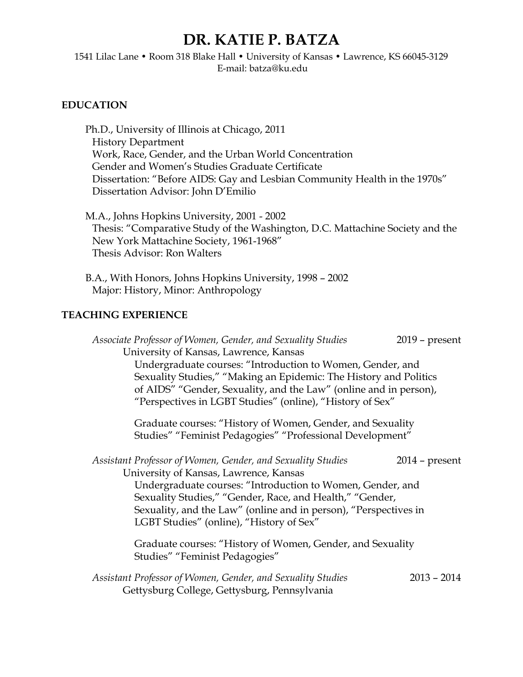# **DR. KATIE P. BATZA**

1541 Lilac Lane • Room 318 Blake Hall • University of Kansas • Lawrence, KS 66045-3129 E-mail: batza@ku.edu

#### **EDUCATION**

Ph.D., University of Illinois at Chicago, 2011 History Department Work, Race, Gender, and the Urban World Concentration Gender and Women's Studies Graduate Certificate Dissertation: "Before AIDS: Gay and Lesbian Community Health in the 1970s" Dissertation Advisor: John D'Emilio

M.A., Johns Hopkins University, 2001 - 2002 Thesis: "Comparative Study of the Washington, D.C. Mattachine Society and the New York Mattachine Society, 1961-1968" Thesis Advisor: Ron Walters

B.A., With Honors, Johns Hopkins University, 1998 – 2002 Major: History, Minor: Anthropology

# **TEACHING EXPERIENCE**

| Associate Professor of Women, Gender, and Sexuality Studies       | $2019$ – present |
|-------------------------------------------------------------------|------------------|
| University of Kansas, Lawrence, Kansas                            |                  |
| Undergraduate courses: "Introduction to Women, Gender, and        |                  |
| Sexuality Studies," "Making an Epidemic: The History and Politics |                  |
| of AIDS" "Gender, Sexuality, and the Law" (online and in person), |                  |
| "Perspectives in LGBT Studies" (online), "History of Sex"         |                  |
| Graduate courses: "History of Women, Gender, and Sexuality        |                  |
| Studies" "Feminist Pedagogies" "Professional Development"         |                  |
| Assistant Professor of Women, Gender, and Sexuality Studies       | $2014$ – present |
| University of Kansas, Lawrence, Kansas                            |                  |
| Undergraduate courses: "Introduction to Women, Gender, and        |                  |
| Sexuality Studies," "Gender, Race, and Health," "Gender,          |                  |
| Sexuality, and the Law" (online and in person), "Perspectives in  |                  |
| LGBT Studies" (online), "History of Sex"                          |                  |
| Graduate courses: "History of Women, Gender, and Sexuality        |                  |
| Studies" "Feminist Pedagogies"                                    |                  |
| Assistant Professor of Women, Gender, and Sexuality Studies       | $2013 - 2014$    |
| Gettysburg College, Gettysburg, Pennsylvania                      |                  |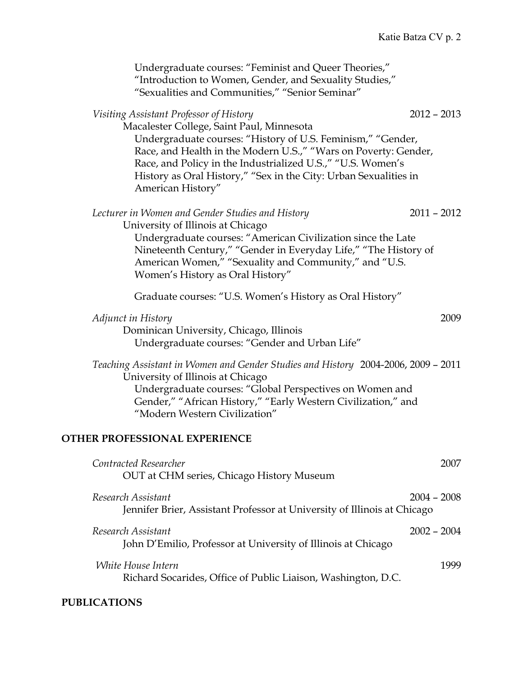| Undergraduate courses: "Feminist and Queer Theories,"<br>"Introduction to Women, Gender, and Sexuality Studies,"<br>"Sexualities and Communities," "Senior Seminar"                                                                                                                                                                                                                             |  |
|-------------------------------------------------------------------------------------------------------------------------------------------------------------------------------------------------------------------------------------------------------------------------------------------------------------------------------------------------------------------------------------------------|--|
| Visiting Assistant Professor of History<br>$2012 - 2013$<br>Macalester College, Saint Paul, Minnesota<br>Undergraduate courses: "History of U.S. Feminism," "Gender,<br>Race, and Health in the Modern U.S.," "Wars on Poverty: Gender,<br>Race, and Policy in the Industrialized U.S.," "U.S. Women's<br>History as Oral History," "Sex in the City: Urban Sexualities in<br>American History" |  |
| Lecturer in Women and Gender Studies and History<br>$2011 - 2012$<br>University of Illinois at Chicago<br>Undergraduate courses: "American Civilization since the Late<br>Nineteenth Century," "Gender in Everyday Life," "The History of<br>American Women," "Sexuality and Community," and "U.S.<br>Women's History as Oral History"                                                          |  |
| Graduate courses: "U.S. Women's History as Oral History"                                                                                                                                                                                                                                                                                                                                        |  |
| Adjunct in History<br>2009<br>Dominican University, Chicago, Illinois<br>Undergraduate courses: "Gender and Urban Life"                                                                                                                                                                                                                                                                         |  |
| Teaching Assistant in Women and Gender Studies and History 2004-2006, 2009 - 2011<br>University of Illinois at Chicago<br>Undergraduate courses: "Global Perspectives on Women and<br>Gender," "African History," "Early Western Civilization," and<br>"Modern Western Civilization"                                                                                                            |  |
| <b>OTHER PROFESSIONAL EXPERIENCE</b>                                                                                                                                                                                                                                                                                                                                                            |  |
| Contracted Researcher<br>2007<br>OUT at CHM series, Chicago History Museum                                                                                                                                                                                                                                                                                                                      |  |
| Research Assistant<br>$2004 - 2008$<br>Jennifer Brier, Assistant Professor at University of Illinois at Chicago                                                                                                                                                                                                                                                                                 |  |
| $2002 - 2004$<br>Research Assistant<br>John D'Emilio, Professor at University of Illinois at Chicago                                                                                                                                                                                                                                                                                            |  |
| White House Intern<br>1999<br>Richard Socarides, Office of Public Liaison, Washington, D.C.                                                                                                                                                                                                                                                                                                     |  |

# **PUBLICATIONS**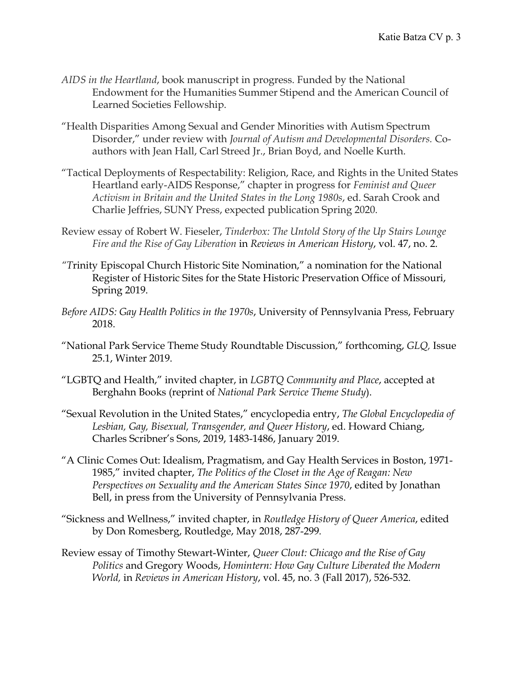- *AIDS in the Heartland*, book manuscript in progress. Funded by the National Endowment for the Humanities Summer Stipend and the American Council of Learned Societies Fellowship.
- "Health Disparities Among Sexual and Gender Minorities with Autism Spectrum Disorder," under review with *Journal of Autism and Developmental Disorders.* Coauthors with Jean Hall, Carl Streed Jr., Brian Boyd, and Noelle Kurth.
- "Tactical Deployments of Respectability: Religion, Race, and Rights in the United States Heartland early-AIDS Response," chapter in progress for *Feminist and Queer Activism in Britain and the United States in the Long 1980s*, ed. Sarah Crook and Charlie Jeffries, SUNY Press, expected publication Spring 2020.
- Review essay of Robert W. Fieseler, *Tinderbox: The Untold Story of the Up Stairs Lounge Fire and the Rise of Gay Liberation* in *Reviews in American History*, vol. 47, no. 2.
- *"T*rinity Episcopal Church Historic Site Nomination," a nomination for the National Register of Historic Sites for the State Historic Preservation Office of Missouri, Spring 2019.
- *Before AIDS: Gay Health Politics in the 1970s*, University of Pennsylvania Press, February 2018.
- "National Park Service Theme Study Roundtable Discussion," forthcoming, *GLQ,* Issue 25.1, Winter 2019.
- "LGBTQ and Health," invited chapter, in *LGBTQ Community and Place*, accepted at Berghahn Books (reprint of *National Park Service Theme Study*).
- "Sexual Revolution in the United States," encyclopedia entry, *The Global Encyclopedia of Lesbian, Gay, Bisexual, Transgender, and Queer History*, ed. Howard Chiang, Charles Scribner's Sons, 2019, 1483-1486, January 2019.
- "A Clinic Comes Out: Idealism, Pragmatism, and Gay Health Services in Boston, 1971- 1985," invited chapter, *The Politics of the Closet in the Age of Reagan: New Perspectives on Sexuality and the American States Since 1970*, edited by Jonathan Bell, in press from the University of Pennsylvania Press.
- "Sickness and Wellness," invited chapter, in *Routledge History of Queer America*, edited by Don Romesberg, Routledge, May 2018, 287-299*.*
- Review essay of Timothy Stewart-Winter, *Queer Clout: Chicago and the Rise of Gay Politics* and Gregory Woods, *Homintern: How Gay Culture Liberated the Modern World,* in *Reviews in American History*, vol. 45, no. 3 (Fall 2017), 526-532.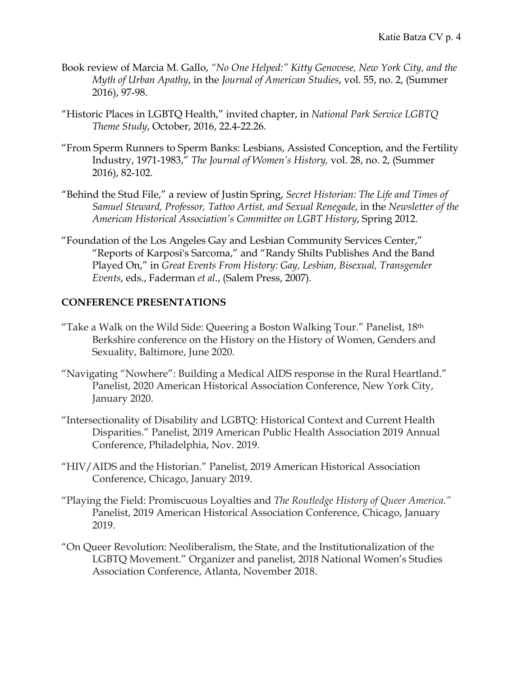- Book review of Marcia M. Gallo, *"No One Helped:" Kitty Genovese, New York City, and the Myth of Urban Apathy*, in the *Journal of American Studies*, vol. 55, no. 2, (Summer 2016), 97-98.
- "Historic Places in LGBTQ Health," invited chapter, in *National Park Service LGBTQ Theme Study*, October, 2016, 22.4-22.26.
- "From Sperm Runners to Sperm Banks: Lesbians, Assisted Conception, and the Fertility Industry, 1971-1983," *The Journal of Women's History,* vol. 28, no. 2, (Summer 2016), 82-102.
- "Behind the Stud File," a review of Justin Spring, *Secret Historian: The Life and Times of Samuel Steward, Professor, Tattoo Artist, and Sexual Renegade*, in the *Newsletter of the American Historical Association's Committee on LGBT History*, Spring 2012.
- "Foundation of the Los Angeles Gay and Lesbian Community Services Center," "Reports of Karposi's Sarcoma," and "Randy Shilts Publishes And the Band Played On," in *Great Events From History: Gay, Lesbian, Bisexual, Transgender Events*, eds., Faderman *et al*., (Salem Press, 2007).

#### **CONFERENCE PRESENTATIONS**

- "Take a Walk on the Wild Side: Queering a Boston Walking Tour." Panelist, 18th Berkshire conference on the History on the History of Women, Genders and Sexuality, Baltimore, June 2020.
- "Navigating "Nowhere": Building a Medical AIDS response in the Rural Heartland." Panelist, 2020 American Historical Association Conference, New York City, January 2020.
- "Intersectionality of Disability and LGBTQ: Historical Context and Current Health Disparities." Panelist, 2019 American Public Health Association 2019 Annual Conference, Philadelphia, Nov. 2019.
- "HIV/AIDS and the Historian." Panelist, 2019 American Historical Association Conference, Chicago, January 2019.
- "Playing the Field: Promiscuous Loyalties and *The Routledge History of Queer America."* Panelist, 2019 American Historical Association Conference, Chicago, January 2019.
- "On Queer Revolution: Neoliberalism, the State, and the Institutionalization of the LGBTQ Movement." Organizer and panelist, 2018 National Women's Studies Association Conference, Atlanta, November 2018.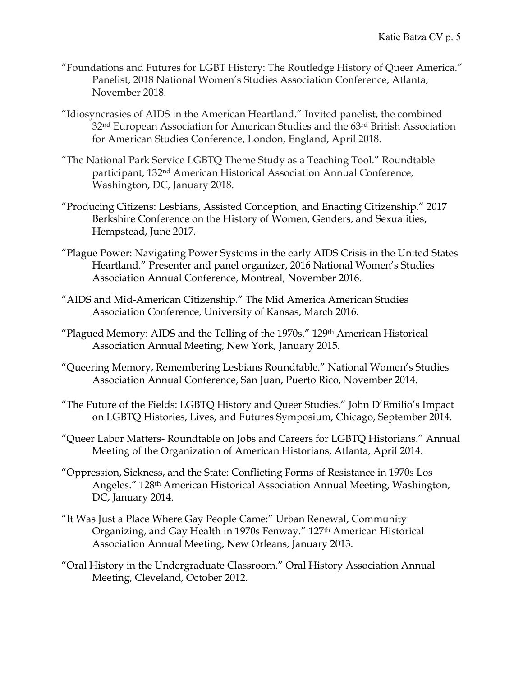- "Foundations and Futures for LGBT History: The Routledge History of Queer America." Panelist, 2018 National Women's Studies Association Conference, Atlanta, November 2018.
- "Idiosyncrasies of AIDS in the American Heartland." Invited panelist, the combined 32<sup>nd</sup> European Association for American Studies and the 63<sup>rd</sup> British Association for American Studies Conference, London, England, April 2018.
- "The National Park Service LGBTQ Theme Study as a Teaching Tool." Roundtable participant, 132nd American Historical Association Annual Conference, Washington, DC, January 2018.
- "Producing Citizens: Lesbians, Assisted Conception, and Enacting Citizenship." 2017 Berkshire Conference on the History of Women, Genders, and Sexualities, Hempstead, June 2017.
- "Plague Power: Navigating Power Systems in the early AIDS Crisis in the United States Heartland." Presenter and panel organizer, 2016 National Women's Studies Association Annual Conference, Montreal, November 2016.
- "AIDS and Mid-American Citizenship." The Mid America American Studies Association Conference, University of Kansas, March 2016.
- "Plagued Memory: AIDS and the Telling of the 1970s." 129<sup>th</sup> American Historical Association Annual Meeting, New York, January 2015.
- "Queering Memory, Remembering Lesbians Roundtable." National Women's Studies Association Annual Conference, San Juan, Puerto Rico, November 2014.
- "The Future of the Fields: LGBTQ History and Queer Studies." John D'Emilio's Impact on LGBTQ Histories, Lives, and Futures Symposium, Chicago, September 2014.
- "Queer Labor Matters- Roundtable on Jobs and Careers for LGBTQ Historians." Annual Meeting of the Organization of American Historians, Atlanta, April 2014.
- "Oppression, Sickness, and the State: Conflicting Forms of Resistance in 1970s Los Angeles." 128th American Historical Association Annual Meeting, Washington, DC, January 2014.
- "It Was Just a Place Where Gay People Came:" Urban Renewal, Community Organizing, and Gay Health in 1970s Fenway." 127<sup>th</sup> American Historical Association Annual Meeting, New Orleans, January 2013.
- "Oral History in the Undergraduate Classroom." Oral History Association Annual Meeting, Cleveland, October 2012.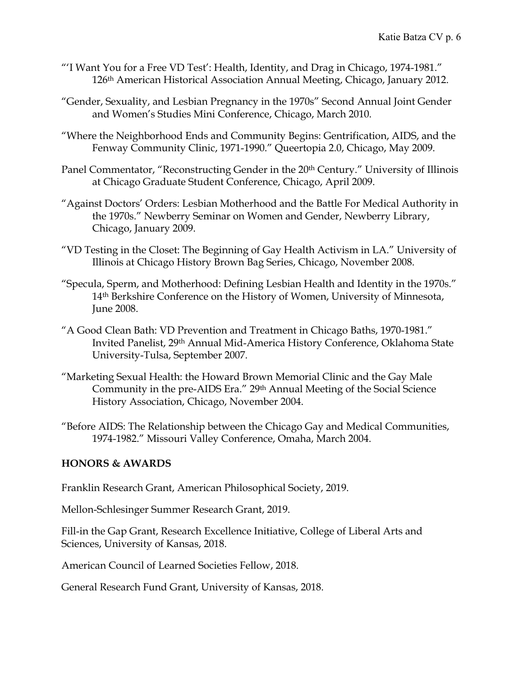- "'I Want You for a Free VD Test': Health, Identity, and Drag in Chicago, 1974-1981." 126th American Historical Association Annual Meeting, Chicago, January 2012.
- "Gender, Sexuality, and Lesbian Pregnancy in the 1970s" Second Annual Joint Gender and Women's Studies Mini Conference, Chicago, March 2010.
- "Where the Neighborhood Ends and Community Begins: Gentrification, AIDS, and the Fenway Community Clinic, 1971-1990." Queertopia 2.0, Chicago, May 2009.
- Panel Commentator, "Reconstructing Gender in the 20<sup>th</sup> Century." University of Illinois at Chicago Graduate Student Conference, Chicago, April 2009.
- "Against Doctors' Orders: Lesbian Motherhood and the Battle For Medical Authority in the 1970s." Newberry Seminar on Women and Gender, Newberry Library, Chicago, January 2009.
- "VD Testing in the Closet: The Beginning of Gay Health Activism in LA." University of Illinois at Chicago History Brown Bag Series, Chicago, November 2008.
- "Specula, Sperm, and Motherhood: Defining Lesbian Health and Identity in the 1970s." 14th Berkshire Conference on the History of Women, University of Minnesota, June 2008.
- "A Good Clean Bath: VD Prevention and Treatment in Chicago Baths, 1970-1981." Invited Panelist, 29th Annual Mid-America History Conference, Oklahoma State University-Tulsa, September 2007.
- "Marketing Sexual Health: the Howard Brown Memorial Clinic and the Gay Male Community in the pre-AIDS Era." 29th Annual Meeting of the Social Science History Association, Chicago, November 2004.
- "Before AIDS: The Relationship between the Chicago Gay and Medical Communities, 1974-1982." Missouri Valley Conference, Omaha, March 2004.

# **HONORS & AWARDS**

Franklin Research Grant, American Philosophical Society, 2019.

Mellon-Schlesinger Summer Research Grant, 2019.

Fill-in the Gap Grant, Research Excellence Initiative, College of Liberal Arts and Sciences, University of Kansas, 2018.

American Council of Learned Societies Fellow, 2018.

General Research Fund Grant, University of Kansas, 2018.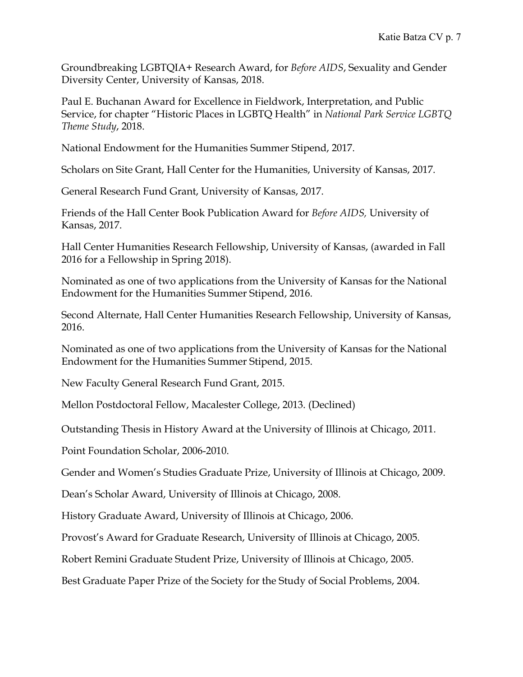Groundbreaking LGBTQIA+ Research Award, for *Before AIDS*, Sexuality and Gender Diversity Center, University of Kansas, 2018.

Paul E. Buchanan Award for Excellence in Fieldwork, Interpretation, and Public Service, for chapter "Historic Places in LGBTQ Health" in *National Park Service LGBTQ Theme Study*, 2018.

National Endowment for the Humanities Summer Stipend, 2017.

Scholars on Site Grant, Hall Center for the Humanities, University of Kansas, 2017.

General Research Fund Grant, University of Kansas, 2017.

Friends of the Hall Center Book Publication Award for *Before AIDS,* University of Kansas, 2017.

Hall Center Humanities Research Fellowship, University of Kansas, (awarded in Fall 2016 for a Fellowship in Spring 2018).

Nominated as one of two applications from the University of Kansas for the National Endowment for the Humanities Summer Stipend, 2016.

Second Alternate, Hall Center Humanities Research Fellowship, University of Kansas, 2016.

Nominated as one of two applications from the University of Kansas for the National Endowment for the Humanities Summer Stipend, 2015.

New Faculty General Research Fund Grant, 2015.

Mellon Postdoctoral Fellow, Macalester College, 2013. (Declined)

Outstanding Thesis in History Award at the University of Illinois at Chicago, 2011.

Point Foundation Scholar, 2006-2010.

Gender and Women's Studies Graduate Prize, University of Illinois at Chicago, 2009.

Dean's Scholar Award, University of Illinois at Chicago, 2008.

History Graduate Award, University of Illinois at Chicago, 2006.

Provost's Award for Graduate Research, University of Illinois at Chicago, 2005.

Robert Remini Graduate Student Prize, University of Illinois at Chicago, 2005.

Best Graduate Paper Prize of the Society for the Study of Social Problems, 2004.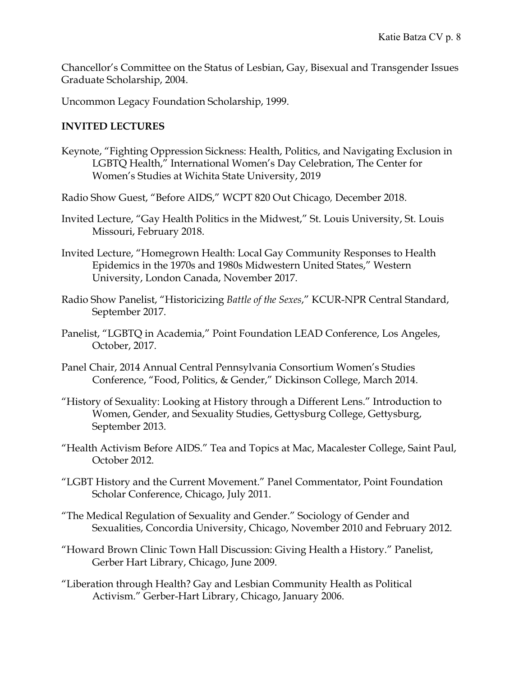Chancellor's Committee on the Status of Lesbian, Gay, Bisexual and Transgender Issues Graduate Scholarship, 2004.

Uncommon Legacy Foundation Scholarship, 1999.

#### **INVITED LECTURES**

- Keynote, "Fighting Oppression Sickness: Health, Politics, and Navigating Exclusion in LGBTQ Health," International Women's Day Celebration, The Center for Women's Studies at Wichita State University, 2019
- Radio Show Guest, "Before AIDS," WCPT 820 Out Chicago*,* December 2018.
- Invited Lecture, "Gay Health Politics in the Midwest," St. Louis University, St. Louis Missouri, February 2018.
- Invited Lecture, "Homegrown Health: Local Gay Community Responses to Health Epidemics in the 1970s and 1980s Midwestern United States," Western University, London Canada, November 2017.
- Radio Show Panelist, "Historicizing *Battle of the Sexes*," KCUR-NPR Central Standard, September 2017.
- Panelist, "LGBTQ in Academia," Point Foundation LEAD Conference, Los Angeles, October, 2017.
- Panel Chair, 2014 Annual Central Pennsylvania Consortium Women's Studies Conference, "Food, Politics, & Gender," Dickinson College, March 2014.
- "History of Sexuality: Looking at History through a Different Lens." Introduction to Women, Gender, and Sexuality Studies, Gettysburg College, Gettysburg, September 2013.
- "Health Activism Before AIDS." Tea and Topics at Mac, Macalester College, Saint Paul, October 2012.
- "LGBT History and the Current Movement." Panel Commentator, Point Foundation Scholar Conference, Chicago, July 2011.
- "The Medical Regulation of Sexuality and Gender." Sociology of Gender and Sexualities, Concordia University, Chicago, November 2010 and February 2012.
- "Howard Brown Clinic Town Hall Discussion: Giving Health a History." Panelist, Gerber Hart Library, Chicago, June 2009.
- "Liberation through Health? Gay and Lesbian Community Health as Political Activism." Gerber-Hart Library, Chicago, January 2006.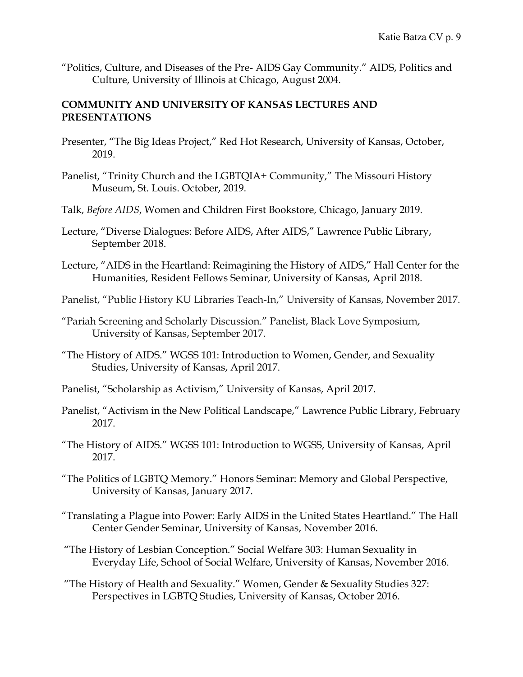"Politics, Culture, and Diseases of the Pre- AIDS Gay Community." AIDS, Politics and Culture, University of Illinois at Chicago, August 2004.

#### **COMMUNITY AND UNIVERSITY OF KANSAS LECTURES AND PRESENTATIONS**

- Presenter, "The Big Ideas Project," Red Hot Research, University of Kansas, October, 2019.
- Panelist, "Trinity Church and the LGBTQIA+ Community," The Missouri History Museum, St. Louis. October, 2019.
- Talk, *Before AIDS*, Women and Children First Bookstore, Chicago, January 2019.
- Lecture, "Diverse Dialogues: Before AIDS, After AIDS," Lawrence Public Library, September 2018.
- Lecture, "AIDS in the Heartland: Reimagining the History of AIDS," Hall Center for the Humanities, Resident Fellows Seminar, University of Kansas, April 2018.
- Panelist, "Public History KU Libraries Teach-In," University of Kansas, November 2017.
- "Pariah Screening and Scholarly Discussion." Panelist, Black Love Symposium, University of Kansas, September 2017.
- "The History of AIDS." WGSS 101: Introduction to Women, Gender, and Sexuality Studies, University of Kansas, April 2017.
- Panelist, "Scholarship as Activism," University of Kansas, April 2017.
- Panelist, "Activism in the New Political Landscape," Lawrence Public Library, February 2017.
- "The History of AIDS." WGSS 101: Introduction to WGSS, University of Kansas, April 2017.
- "The Politics of LGBTQ Memory." Honors Seminar: Memory and Global Perspective, University of Kansas, January 2017.
- "Translating a Plague into Power: Early AIDS in the United States Heartland." The Hall Center Gender Seminar, University of Kansas, November 2016.
- "The History of Lesbian Conception." Social Welfare 303: Human Sexuality in Everyday Life, School of Social Welfare, University of Kansas, November 2016.
- "The History of Health and Sexuality." Women, Gender & Sexuality Studies 327: Perspectives in LGBTQ Studies, University of Kansas, October 2016.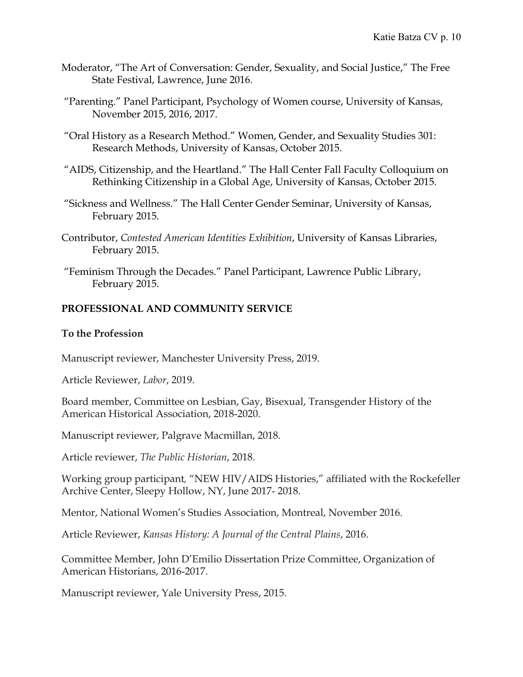- Moderator, "The Art of Conversation: Gender, Sexuality, and Social Justice," The Free State Festival, Lawrence, June 2016.
- "Parenting." Panel Participant, Psychology of Women course, University of Kansas, November 2015, 2016, 2017.
- "Oral History as a Research Method." Women, Gender, and Sexuality Studies 301: Research Methods, University of Kansas, October 2015.
- "AIDS, Citizenship, and the Heartland." The Hall Center Fall Faculty Colloquium on Rethinking Citizenship in a Global Age, University of Kansas, October 2015.
- "Sickness and Wellness." The Hall Center Gender Seminar, University of Kansas, February 2015.
- Contributor, *Contested American Identities Exhibition*, University of Kansas Libraries, February 2015.
- "Feminism Through the Decades." Panel Participant, Lawrence Public Library, February 2015.

#### **PROFESSIONAL AND COMMUNITY SERVICE**

#### **To the Profession**

Manuscript reviewer, Manchester University Press, 2019.

Article Reviewer, *Labor*, 2019.

Board member, Committee on Lesbian, Gay, Bisexual, Transgender History of the American Historical Association, 2018-2020.

Manuscript reviewer, Palgrave Macmillan, 2018.

Article reviewer, *The Public Historian*, 2018.

Working group participant*,* "NEW HIV/AIDS Histories," affiliated with the Rockefeller Archive Center, Sleepy Hollow, NY, June 2017- 2018.

Mentor, National Women's Studies Association, Montreal, November 2016.

Article Reviewer, *Kansas History: A Journal of the Central Plains*, 2016.

Committee Member, John D'Emilio Dissertation Prize Committee, Organization of American Historians, 2016-2017.

Manuscript reviewer, Yale University Press, 2015.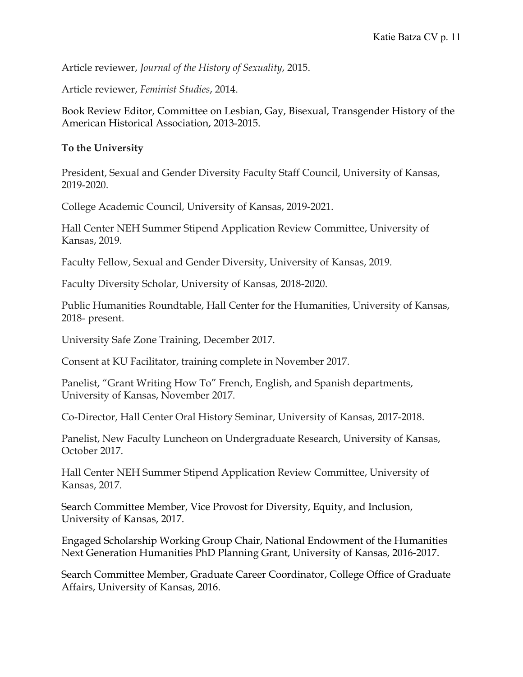Article reviewer, *Journal of the History of Sexuality*, 2015.

Article reviewer, *Feminist Studies*, 2014.

Book Review Editor, Committee on Lesbian, Gay, Bisexual, Transgender History of the American Historical Association, 2013-2015.

#### **To the University**

President, Sexual and Gender Diversity Faculty Staff Council, University of Kansas, 2019-2020.

College Academic Council, University of Kansas, 2019-2021.

Hall Center NEH Summer Stipend Application Review Committee, University of Kansas, 2019.

Faculty Fellow, Sexual and Gender Diversity, University of Kansas, 2019.

Faculty Diversity Scholar, University of Kansas, 2018-2020.

Public Humanities Roundtable, Hall Center for the Humanities, University of Kansas, 2018- present.

University Safe Zone Training, December 2017.

Consent at KU Facilitator, training complete in November 2017.

Panelist, "Grant Writing How To" French, English, and Spanish departments, University of Kansas, November 2017.

Co-Director, Hall Center Oral History Seminar, University of Kansas, 2017-2018.

Panelist, New Faculty Luncheon on Undergraduate Research, University of Kansas, October 2017.

Hall Center NEH Summer Stipend Application Review Committee, University of Kansas, 2017.

Search Committee Member, Vice Provost for Diversity, Equity, and Inclusion, University of Kansas, 2017.

Engaged Scholarship Working Group Chair, National Endowment of the Humanities Next Generation Humanities PhD Planning Grant, University of Kansas, 2016-2017.

Search Committee Member, Graduate Career Coordinator, College Office of Graduate Affairs, University of Kansas, 2016.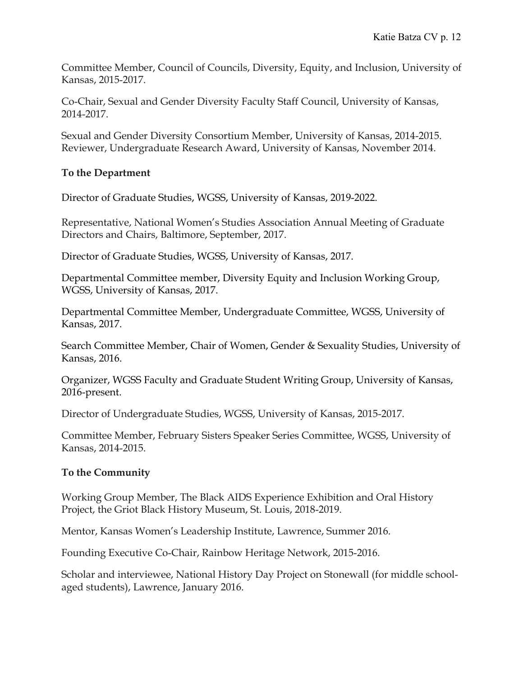Committee Member, Council of Councils, Diversity, Equity, and Inclusion, University of Kansas, 2015-2017.

Co-Chair, Sexual and Gender Diversity Faculty Staff Council, University of Kansas, 2014-2017.

Sexual and Gender Diversity Consortium Member, University of Kansas, 2014-2015. Reviewer, Undergraduate Research Award, University of Kansas, November 2014.

# **To the Department**

Director of Graduate Studies, WGSS, University of Kansas, 2019-2022.

Representative, National Women's Studies Association Annual Meeting of Graduate Directors and Chairs, Baltimore, September, 2017.

Director of Graduate Studies, WGSS, University of Kansas, 2017.

Departmental Committee member, Diversity Equity and Inclusion Working Group, WGSS, University of Kansas, 2017.

Departmental Committee Member, Undergraduate Committee, WGSS, University of Kansas, 2017.

Search Committee Member, Chair of Women, Gender & Sexuality Studies, University of Kansas, 2016.

Organizer, WGSS Faculty and Graduate Student Writing Group, University of Kansas, 2016-present.

Director of Undergraduate Studies, WGSS, University of Kansas, 2015-2017.

Committee Member, February Sisters Speaker Series Committee, WGSS, University of Kansas, 2014-2015.

# **To the Community**

Working Group Member, The Black AIDS Experience Exhibition and Oral History Project, the Griot Black History Museum, St. Louis, 2018-2019.

Mentor, Kansas Women's Leadership Institute, Lawrence, Summer 2016.

Founding Executive Co-Chair, Rainbow Heritage Network, 2015-2016.

Scholar and interviewee, National History Day Project on Stonewall (for middle schoolaged students), Lawrence, January 2016.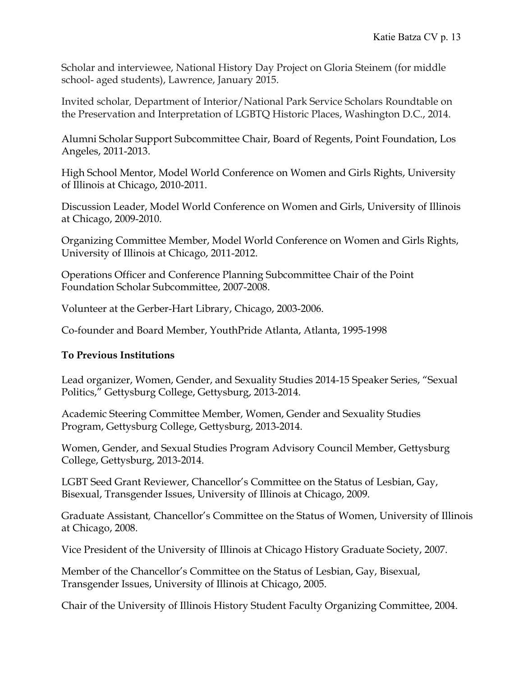Scholar and interviewee, National History Day Project on Gloria Steinem (for middle school- aged students), Lawrence, January 2015.

Invited scholar*,* Department of Interior/National Park Service Scholars Roundtable on the Preservation and Interpretation of LGBTQ Historic Places, Washington D.C., 2014.

Alumni Scholar Support Subcommittee Chair, Board of Regents, Point Foundation, Los Angeles, 2011-2013.

High School Mentor, Model World Conference on Women and Girls Rights, University of Illinois at Chicago, 2010-2011.

Discussion Leader, Model World Conference on Women and Girls, University of Illinois at Chicago, 2009-2010.

Organizing Committee Member, Model World Conference on Women and Girls Rights, University of Illinois at Chicago, 2011-2012.

Operations Officer and Conference Planning Subcommittee Chair of the Point Foundation Scholar Subcommittee, 2007-2008.

Volunteer at the Gerber-Hart Library, Chicago, 2003-2006.

Co-founder and Board Member, YouthPride Atlanta, Atlanta, 1995-1998

# **To Previous Institutions**

Lead organizer, Women, Gender, and Sexuality Studies 2014-15 Speaker Series, "Sexual Politics," Gettysburg College, Gettysburg, 2013-2014.

Academic Steering Committee Member, Women, Gender and Sexuality Studies Program, Gettysburg College, Gettysburg, 2013-2014.

Women, Gender, and Sexual Studies Program Advisory Council Member, Gettysburg College, Gettysburg, 2013-2014.

LGBT Seed Grant Reviewer, Chancellor's Committee on the Status of Lesbian, Gay, Bisexual, Transgender Issues, University of Illinois at Chicago, 2009.

Graduate Assistant*,* Chancellor's Committee on the Status of Women, University of Illinois at Chicago, 2008.

Vice President of the University of Illinois at Chicago History Graduate Society, 2007.

Member of the Chancellor's Committee on the Status of Lesbian, Gay, Bisexual, Transgender Issues, University of Illinois at Chicago, 2005.

Chair of the University of Illinois History Student Faculty Organizing Committee, 2004.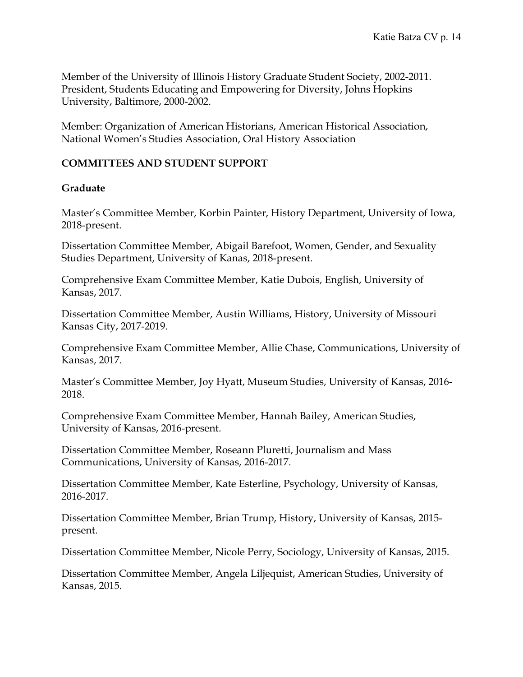Member of the University of Illinois History Graduate Student Society, 2002-2011. President, Students Educating and Empowering for Diversity, Johns Hopkins University, Baltimore, 2000-2002.

Member: Organization of American Historians, American Historical Association, National Women's Studies Association, Oral History Association

# **COMMITTEES AND STUDENT SUPPORT**

#### **Graduate**

Master's Committee Member, Korbin Painter, History Department, University of Iowa, 2018-present.

Dissertation Committee Member, Abigail Barefoot, Women, Gender, and Sexuality Studies Department, University of Kanas, 2018-present.

Comprehensive Exam Committee Member, Katie Dubois, English, University of Kansas, 2017.

Dissertation Committee Member, Austin Williams, History, University of Missouri Kansas City, 2017-2019.

Comprehensive Exam Committee Member, Allie Chase, Communications, University of Kansas, 2017.

Master's Committee Member, Joy Hyatt, Museum Studies, University of Kansas, 2016- 2018.

Comprehensive Exam Committee Member, Hannah Bailey, American Studies, University of Kansas, 2016-present.

Dissertation Committee Member, Roseann Pluretti, Journalism and Mass Communications, University of Kansas, 2016-2017.

Dissertation Committee Member, Kate Esterline, Psychology, University of Kansas, 2016-2017.

Dissertation Committee Member, Brian Trump, History, University of Kansas, 2015 present.

Dissertation Committee Member, Nicole Perry, Sociology, University of Kansas, 2015.

Dissertation Committee Member, Angela Liljequist, American Studies, University of Kansas, 2015.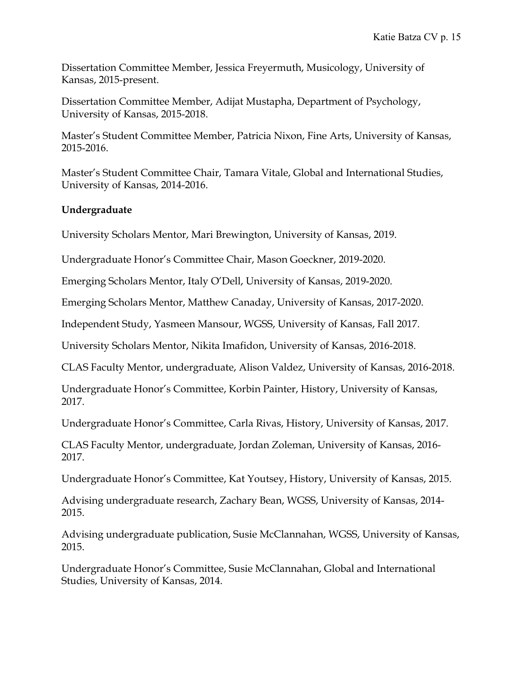Dissertation Committee Member, Jessica Freyermuth, Musicology, University of Kansas, 2015-present.

Dissertation Committee Member, Adijat Mustapha, Department of Psychology, University of Kansas, 2015-2018.

Master's Student Committee Member, Patricia Nixon, Fine Arts, University of Kansas, 2015-2016.

Master's Student Committee Chair, Tamara Vitale, Global and International Studies, University of Kansas, 2014-2016.

# **Undergraduate**

University Scholars Mentor, Mari Brewington, University of Kansas, 2019.

Undergraduate Honor's Committee Chair, Mason Goeckner, 2019-2020.

Emerging Scholars Mentor, Italy O'Dell, University of Kansas, 2019-2020.

Emerging Scholars Mentor, Matthew Canaday, University of Kansas, 2017-2020.

Independent Study, Yasmeen Mansour, WGSS, University of Kansas, Fall 2017.

University Scholars Mentor, Nikita Imafidon, University of Kansas, 2016-2018.

CLAS Faculty Mentor, undergraduate, Alison Valdez, University of Kansas, 2016-2018.

Undergraduate Honor's Committee, Korbin Painter, History, University of Kansas, 2017.

Undergraduate Honor's Committee, Carla Rivas, History, University of Kansas, 2017.

CLAS Faculty Mentor, undergraduate, Jordan Zoleman, University of Kansas, 2016- 2017.

Undergraduate Honor's Committee, Kat Youtsey, History, University of Kansas, 2015.

Advising undergraduate research, Zachary Bean, WGSS, University of Kansas, 2014- 2015.

Advising undergraduate publication, Susie McClannahan, WGSS, University of Kansas, 2015.

Undergraduate Honor's Committee, Susie McClannahan, Global and International Studies, University of Kansas, 2014.